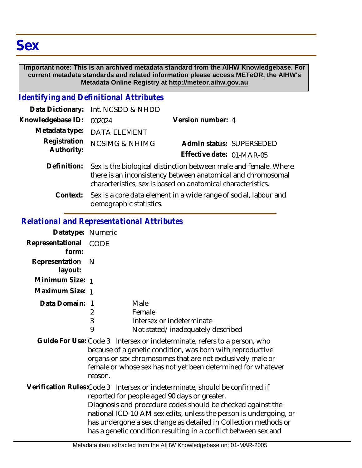#### **Important note: This is an archived metadata standard from the AIHW Knowledgebase. For current metadata standards and related information please access METeOR, the AIHW's Metadata Online Registry at http://meteor.aihw.gov.au**

### *Identifying and Definitional Attributes*

|                            | Data Dictionary: Int. NCSDD & NHDD                                                                                                                                                               |                           |  |
|----------------------------|--------------------------------------------------------------------------------------------------------------------------------------------------------------------------------------------------|---------------------------|--|
| Knowledgebase ID:          | 002024                                                                                                                                                                                           | Version number: 4         |  |
|                            | Metadata type: DATA ELEMENT                                                                                                                                                                      |                           |  |
| Registration<br>Authority: | <b>NCSIMG &amp; NHIMG</b>                                                                                                                                                                        | Admin status: SUPERSEDED  |  |
|                            |                                                                                                                                                                                                  | Effective date: 01-MAR-05 |  |
| Definition:                | Sex is the biological distinction between male and female. Where<br>there is an inconsistency between anatomical and chromosomal<br>characteristics, sex is based on anatomical characteristics. |                           |  |
|                            |                                                                                                                                                                                                  |                           |  |

Context: Sex is a core data element in a wide range of social, labour and demographic statistics.

#### *Relational and Representational Attributes*

| Datatype: Numeric              |   |                                   |
|--------------------------------|---|-----------------------------------|
| Representational CODE<br>form: |   |                                   |
| Representation N<br>layout:    |   |                                   |
| Minimum Size: 1                |   |                                   |
| Maximum Size: 1                |   |                                   |
| Data Domain: 1                 |   | Male                              |
|                                | 2 | Female                            |
|                                | 3 | Intersex or indeterminate         |
|                                | 9 | Not stated/inadequately described |

Guide For Use: Code 3 Intersex or indeterminate, refers to a person, who because of a genetic condition, was born with reproductive organs or sex chromosomes that are not exclusively male or female or whose sex has not yet been determined for whatever reason.

Verification Rules:Code 3 Intersex or indeterminate, should be confirmed if reported for people aged 90 days or greater. Diagnosis and procedure codes should be checked against the national ICD-10-AM sex edits, unless the person is undergoing, or has undergone a sex change as detailed in Collection methods or has a genetic condition resulting in a conflict between sex and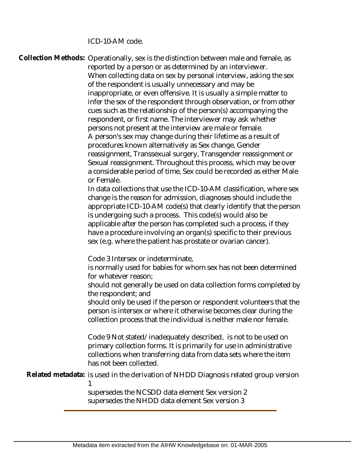ICD-10-AM code.

Collection Methods: Operationally, sex is the distinction between male and female, as reported by a person or as determined by an interviewer. When collecting data on sex by personal interview, asking the sex of the respondent is usually unnecessary and may be inappropriate, or even offensive. It is usually a simple matter to infer the sex of the respondent through observation, or from other cues such as the relationship of the person(s) accompanying the respondent, or first name. The interviewer may ask whether persons not present at the interview are male or female. A person's sex may change during their lifetime as a result of procedures known alternatively as Sex change, Gender reassignment, Transsexual surgery, Transgender reassignment or Sexual reassignment. Throughout this process, which may be over a considerable period of time, Sex could be recorded as either Male or Female. In data collections that use the ICD-10-AM classification, where sex change is the reason for admission, diagnoses should include the appropriate ICD-10-AM code(s) that clearly identify that the person is undergoing such a process. This code(s) would also be applicable after the person has completed such a process, if they have a procedure involving an organ(s) specific to their previous sex (e.g. where the patient has prostate or ovarian cancer). Code 3 Intersex or indeterminate, is normally used for babies for whom sex has not been determined for whatever reason; should not generally be used on data collection forms completed by the respondent; and should only be used if the person or respondent volunteers that the person is intersex or where it otherwise becomes clear during the collection process that the individual is neither male nor female. Code 9 Not stated/inadequately described, is not to be used on primary collection forms. It is primarily for use in administrative collections when transferring data from data sets where the item has not been collected. Related metadata: is used in the derivation of NHDD Diagnosis related group version 1

> supersedes the NCSDD data element Sex version 2 supersedes the NHDD data element Sex version 3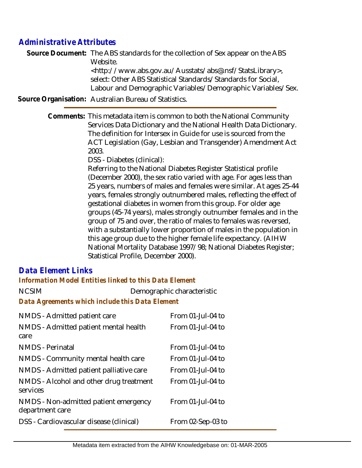# *Administrative Attributes*

Source Document: The ABS standards for the collection of Sex appear on the ABS Website.

<http://www.abs.gov.au/Ausstats/abs@.nsf/StatsLibrary>, select: Other ABS Statistical Standards/Standards for Social, Labour and Demographic Variables/Demographic Variables/Sex.

**Source Organisation:** Australian Bureau of Statistics.

Comments: This metadata item is common to both the National Community Services Data Dictionary and the National Health Data Dictionary. The definition for Intersex in Guide for use is sourced from the ACT Legislation (Gay, Lesbian and Transgender) Amendment Act 2003.

DSS - Diabetes (clinical):

Referring to the National Diabetes Register Statistical profile (December 2000), the sex ratio varied with age. For ages less than 25 years, numbers of males and females were similar. At ages 25-44 years, females strongly outnumbered males, reflecting the effect of gestational diabetes in women from this group. For older age groups (45-74 years), males strongly outnumber females and in the group of 75 and over, the ratio of males to females was reversed, with a substantially lower proportion of males in the population in this age group due to the higher female life expectancy. (AIHW National Mortality Database 1997/98; National Diabetes Register; Statistical Profile, December 2000).

## *Data Element Links*

*Information Model Entities linked to this Data Element*

| <b>NCSIM</b>                                    | Demographic characteristic |
|-------------------------------------------------|----------------------------|
| Data Agreements which include this Data Element |                            |

| NMDS - Admitted patient care                             | From 01-Jul-04 to    |
|----------------------------------------------------------|----------------------|
| NMDS - Admitted patient mental health                    | From 01-Jul-04 to    |
| care                                                     |                      |
| <b>NMDS</b> - Perinatal                                  | From $01$ -Jul-04 to |
| NMDS - Community mental health care                      | From 01-Jul-04 to    |
| NMDS - Admitted patient palliative care                  | From $01$ -Jul-04 to |
| NMDS - Alcohol and other drug treatment<br>services      | From 01-Jul-04 to    |
| NMDS - Non-admitted patient emergency<br>department care | From 01-Jul-04 to    |
| DSS - Cardiovascular disease (clinical)                  | From 02-Sep-03 to    |